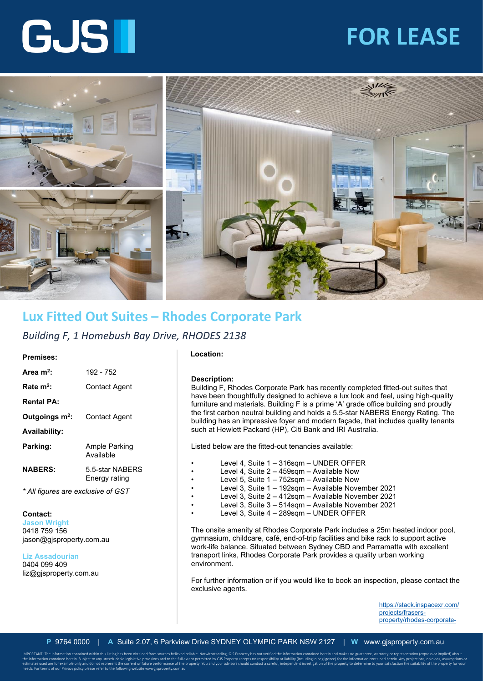## **FOR LEASE**





### **Lux Fitted Out Suites – Rhodes Corporate Park**

#### *Building F, 1 Homebush Bay Drive, RHODES 2138*

#### **Premises:**

| Area $m^2$ :               | 192 - 752                        |
|----------------------------|----------------------------------|
| Rate $m^2$ :               | Contact Agent                    |
| <b>Rental PA:</b>          |                                  |
| Outgoings m <sup>2</sup> : | Contact Agent                    |
| <b>Availability:</b>       |                                  |
| Parking:                   | Ample Parking<br>Available       |
| <b>NABERS:</b>             | 5.5-star NABFRS<br>Energy rating |
|                            |                                  |

#### *\* All figures are exclusive of GST*

#### **Contact:**

**Jason Wright**  0418 759 156 jason@gjsproperty.com.au

**Liz Assadourian**  0404 099 409 liz@gjsproperty.com.au

needs. For terms of our Privacy policy please refer to the following website wwwgjsproperty.com.au.

#### **Location:**

#### **Description:**

Building F, Rhodes Corporate Park has recently completed fitted-out suites that have been thoughtfully designed to achieve a lux look and feel, using high-quality furniture and materials. Building F is a prime 'A' grade office building and proudly the first carbon neutral building and holds a 5.5-star NABERS Energy Rating. The building has an impressive foyer and modern façade, that includes quality tenants such at Hewlett Packard (HP), Citi Bank and IRI Australia.

Listed below are the fitted-out tenancies available:

- Level 4, Suite 1 316sqm UNDER OFFER
- Level 4, Suite 2 459sqm Available Now
- Level 5, Suite 1 752sqm Available Now
- Level 3, Suite 1 192sqm Available November 2021
- Level 3, Suite 2 412sqm Available November 2021
- Level 3, Suite 3 514sqm Available November 2021
- Level 3, Suite 4 289sqm UNDER OFFER

The onsite amenity at Rhodes Corporate Park includes a 25m heated indoor pool, gymnasium, childcare, café, end-of-trip facilities and bike rack to support active work-life balance. Situated between Sydney CBD and Parramatta with excellent transport links, Rhodes Corporate Park provides a quality urban working environment.

For further information or if you would like to book an inspection, please contact the exclusive agents.

> [https://stack.inspacexr.com/](https://stack.inspacexr.com/projects/frasers-property/rhodes-corporate-park?f=building-f--500sqm-v2&view=1) [projects/frasers](https://stack.inspacexr.com/projects/frasers-property/rhodes-corporate-park?f=building-f--500sqm-v2&view=1)[property/rhodes-corporate-](https://stack.inspacexr.com/projects/frasers-property/rhodes-corporate-park?f=building-f--500sqm-v2&view=1)

IMPORTANT: The Information contained within this listing has been obtained from sources believed reliable. Notwithstanding, GJS Property has not verified the information contained herein and makes no guarantee, warranty or the information contained herein. Subject to any unexcludable legislative provisions and to the full extent permitted by GJS Property accepts no responsibility or liability (including in negligence) for the information con estimates used are for example only and do not represent the current or future performance of the property. You and your advisors should conduct a careful, independent investigation of the property to determine to your sat